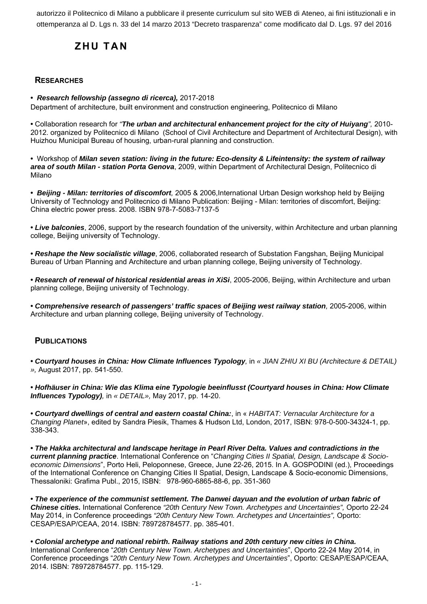autorizzo il Politecnico di Milano a pubblicare il presente curriculum sul sito WEB di Ateneo, ai fini istituzionali e in ottemperanza al D. Lgs n. 33 del 14 marzo 2013 "Decreto trasparenza" come modificato dal D. Lgs. 97 del 2016

# **ZHU TAN**

# **RESEARCHES**

**•** *Research fellowship (assegno di ricerca),* 2017-2018

Department of architecture, built environment and construction engineering, Politecnico di Milano

**•** Collaboration research for *"The urban and architectural enhancement project for the city of Huiyang",* 2010- 2012. organized by Politecnico di Milano (School of Civil Architecture and Department of Architectural Design), with Huizhou Municipal Bureau of housing, urban-rural planning and construction.

**•** Workshop of *Milan seven station: living in the future: Eco-density & Lifeintensity: the system of railway area of south Milan - station Porta Genova*, 2009, within Department of Architectural Design, Politecnico di Milano

**•** *Beijing - Milan: territories of discomfort,* 2005 & 2006,International Urban Design workshop held by Beijing University of Technology and Politecnico di Milano Publication: Beijing - Milan: territories of discomfort, Beijing: China electric power press. 2008. ISBN 978-7-5083-7137-5

**•** *Live balconies*, 2006, support by the research foundation of the university, within Architecture and urban planning college, Beijing university of Technology.

**•** *Reshape the New socialistic village*, 2006, collaborated research of Substation Fangshan, Beijing Municipal Bureau of Urban Planning and Architecture and urban planning college, Beijing university of Technology.

**•** *Research of renewal of historical residential areas in XiSi*, 2005-2006, Beijing, within Architecture and urban planning college, Beijing university of Technology.

**•** *Comprehensive research of passengers' traffic spaces of Beijing west railway station,* 2005-2006, within Architecture and urban planning college, Beijing university of Technology.

## **PUBLICATIONS**

**•** *Courtyard houses in China: How Climate Influences Typology,* in *« JIAN ZHIU XI BU (Architecture & DETAIL) »,* August 2017, pp. 541-550.

**•** *Hofhäuser in China: Wie das Klima eine Typologie beeinflusst (Courtyard houses in China: How Climate Influences Typology),* in *« DETAIL»,* May 2017, pp. 14-20.

**•** *Courtyard dwellings of central and eastern coastal China:*, in « *HABITAT: Vernacular Architecture for a Changing Planet*», edited by Sandra Piesik, Thames & Hudson Ltd, London, 2017, ISBN: 978-0-500-34324-1, pp. 338-343.

**•** *The Hakka architectural and landscape heritage in Pearl River Delta. Values and contradictions in the current planning practice*. International Conference on "*Changing Cities II Spatial, Design, Landscape & Socioeconomic Dimensions*", Porto Heli, Peloponnese, Greece, June 22-26, 2015. In A. GOSPODINI (ed.), Proceedings of the International Conference on Changing Cities II Spatial, Design, Landscape & Socio-economic Dimensions, Thessaloniki: Grafima Publ., 2015, ISBN: 978-960-6865-88-6, pp. 351-360

**•** *The experience of the communist settlement. The Danwei dayuan and the evolution of urban fabric of Chinese cities.* International Conference *"20th Century New Town. Archetypes and Uncertainties",* Oporto 22-24 May 2014, in Conference proceedings *"20th Century New Town. Archetypes and Uncertainties",* Oporto: CESAP/ESAP/CEAA, 2014. ISBN: 789728784577. pp. 385-401.

**•** *Colonial archetype and national rebirth. Railway stations and 20th century new cities in China.* International Conference "*20th Century New Town. Archetypes and Uncertainties*", Oporto 22-24 May 2014, in Conference proceedings "*20th Century New Town. Archetypes and Uncertainties*", Oporto: CESAP/ESAP/CEAA, 2014. ISBN: 789728784577. pp. 115-129.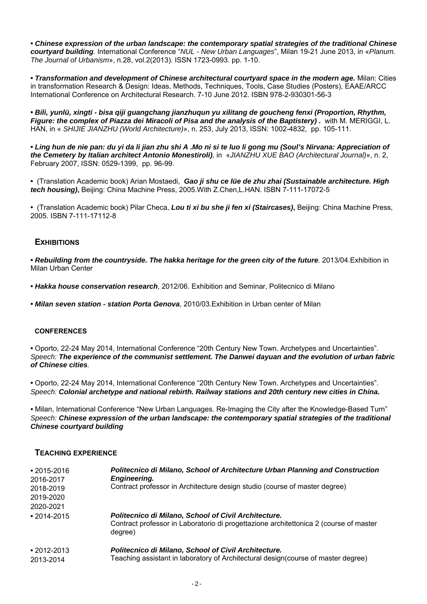**•** *Chinese expression of the urban landscape: the contemporary spatial strategies of the traditional Chinese courtyard building.* International Conference "*NUL - New Urban Languages*", Milan 19-21 June 2013, in «*Planum. The Journal of Urbanism*», n.28, vol.2(2013). ISSN 1723-0993. pp. 1-10.

**•** *Transformation and development of Chinese architectural courtyard space in the modern age.* Milan: Cities in transformation Research & Design: Ideas, Methods, Techniques, Tools, Case Studies (Posters), EAAE/ARCC International Conference on Architectural Research. 7-10 June 2012. ISBN 978-2-930301-56-3

**•** *Bili, yunlü, xingti - bisa qiji guangchang jianzhuqun yu xilitang de goucheng fenxi (Proportion, Rhythm, Figure: the complex of Piazza dei Miracoli of Pisa and the analysis of the Baptistery) .* with M. MERIGGI, L. HAN, in « *SHIJIE JIANZHU (World Architecture)*», n. 253, July 2013, ISSN: 1002-4832, pp. 105-111.

**•** *Ling hun de nie pan: du yi da li jian zhu shi A .Mo ni si te luo li gong mu (Soul's Nirvana: Appreciation of the Cemetery by Italian architect Antonio Monestiroli),* in «*JIANZHU XUE BAO (Architectural Journal)*», n. 2, February 2007, ISSN: 0529-1399, pp. 96-99.

**•** (Translation Academic book) Arian Mostaedi, *Gao ji shu ce lüe de zhu zhai (Sustainable architecture. High tech housing)***,** Beijing: China Machine Press, 2005.With Z.Chen,L.HAN. ISBN 7-111-17072-5

**•** (Translation Academic book) Pilar Checa, *Lou ti xi bu she ji fen xi (Staircases)***,** Beijing: China Machine Press, 2005. ISBN 7-111-17112-8

### **EXHIBITIONS**

**•** *Rebuilding from the countryside. The hakka heritage for the green city of the future.* 2013/04.Exhibition in Milan Urban Center

**•** *Hakka house conservation research*, 2012/06. Exhibition and Seminar, Politecnico di Milano

**•** *Milan seven station - station Porta Genova*, 2010/03.Exhibition in Urban center of Milan

#### **CONFERENCES**

**•** Oporto, 22-24 May 2014, International Conference "20th Century New Town. Archetypes and Uncertainties". *Speech: The experience of the communist settlement. The Danwei dayuan and the evolution of urban fabric of Chinese cities.*

**•** Oporto, 22-24 May 2014, International Conference "20th Century New Town. Archetypes and Uncertainties". *Speech: Colonial archetype and national rebirth. Railway stations and 20th century new cities in China.*

*•* Milan, International Conference "New Urban Languages. Re-Imaging the City after the Knowledge-Based Turn" *Speech: Chinese expression of the urban landscape: the contemporary spatial strategies of the traditional Chinese courtyard building*

#### **TEACHING EXPERIENCE**

| $•2015 - 2016$<br>2016-2017    | Politecnico di Milano, School of Architecture Urban Planning and Construction<br>Engineering.                                                            |
|--------------------------------|----------------------------------------------------------------------------------------------------------------------------------------------------------|
| 2018-2019                      | Contract professor in Architecture design studio (course of master degree)                                                                               |
| 2019-2020                      |                                                                                                                                                          |
| 2020-2021                      |                                                                                                                                                          |
| $\cdot$ 2014-2015              | Politecnico di Milano, School of Civil Architecture.<br>Contract professor in Laboratorio di progettazione architettonica 2 (course of master<br>degree) |
| $\cdot$ 2012-2013<br>2013-2014 | Politecnico di Milano, School of Civil Architecture.<br>Teaching assistant in laboratory of Architectural design(course of master degree)                |